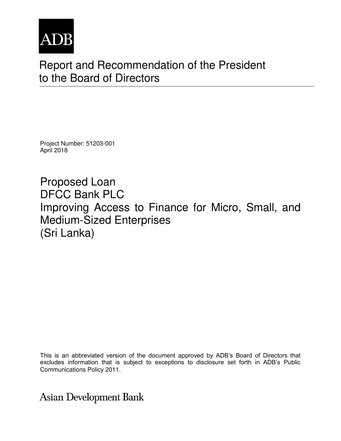

## Report and Recommendation of the President to the Board of Directors

Project Number: 51203-001 April 2018

Proposed Loan DFCC Bank PLC Improving Access to Finance for Micro, Small, and Medium-Sized Enterprises (Sri Lanka)

This is an abbreviated version of the document approved by ADB's Board of Directors that excludes information that is subject to exceptions to disclosure set forth in ADB's Public Communications Policy 2011.

**Asian Development Bank**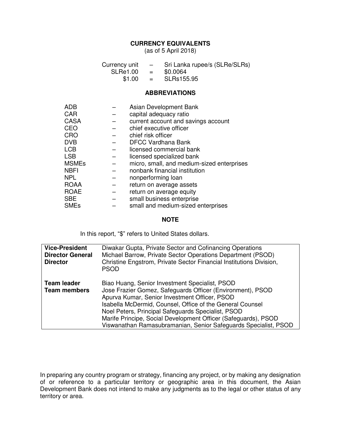## **CURRENCY EQUIVALENTS**

(as of 5 April 2018)

| Currency unit | $\sim$   | Sri Lanka rupee/s (SLRe/SLRs) |
|---------------|----------|-------------------------------|
| SLRe1.00      | $=$      | \$0.0064                      |
| \$1.00        | $\equiv$ | SLRs155.95                    |

#### **ABBREVIATIONS**

| <b>ADB</b>   | Asian Development Bank                     |
|--------------|--------------------------------------------|
| <b>CAR</b>   | capital adequacy ratio                     |
| <b>CASA</b>  | current account and savings account        |
| <b>CEO</b>   | chief executive officer                    |
| CRO          | chief risk officer                         |
| <b>DVB</b>   | <b>DFCC Vardhana Bank</b>                  |
| <b>LCB</b>   | licensed commercial bank                   |
| <b>LSB</b>   | licensed specialized bank                  |
| <b>MSMEs</b> | micro, small, and medium-sized enterprises |
| <b>NBFI</b>  | nonbank financial institution              |
| <b>NPL</b>   | nonperforming loan                         |
| <b>ROAA</b>  | return on average assets                   |
| <b>ROAE</b>  | return on average equity                   |
| <b>SBE</b>   | small business enterprise                  |
| <b>SMEs</b>  | small and medium-sized enterprises         |

#### **NOTE**

In this report, "\$" refers to United States dollars.

| <b>Vice-President</b><br><b>Director General</b><br><b>Director</b> | Diwakar Gupta, Private Sector and Cofinancing Operations<br>Michael Barrow, Private Sector Operations Department (PSOD)<br>Christine Engstrom, Private Sector Financial Institutions Division,<br><b>PSOD</b>                                                                                                                                                                                                         |
|---------------------------------------------------------------------|-----------------------------------------------------------------------------------------------------------------------------------------------------------------------------------------------------------------------------------------------------------------------------------------------------------------------------------------------------------------------------------------------------------------------|
| <b>Team leader</b><br><b>Team members</b>                           | Biao Huang, Senior Investment Specialist, PSOD<br>Jose Frazier Gomez, Safeguards Officer (Environment), PSOD<br>Apurva Kumar, Senior Investment Officer, PSOD<br>Isabella McDermid, Counsel, Office of the General Counsel<br>Noel Peters, Principal Safeguards Specialist, PSOD<br>Marife Principe, Social Development Officer (Safeguards), PSOD<br>Viswanathan Ramasubramanian, Senior Safeguards Specialist, PSOD |

In preparing any country program or strategy, financing any project, or by making any designation of or reference to a particular territory or geographic area in this document, the Asian Development Bank does not intend to make any judgments as to the legal or other status of any territory or area.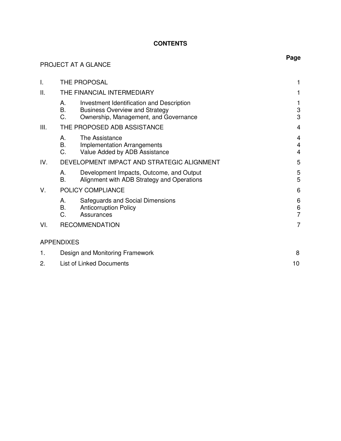## **CONTENTS**

| PROJECT AT A GLANCE | Page                                                                                                                                          |                                       |  |
|---------------------|-----------------------------------------------------------------------------------------------------------------------------------------------|---------------------------------------|--|
| $\mathbf{I}$ .      | THE PROPOSAL                                                                                                                                  | 1                                     |  |
| II.                 | THE FINANCIAL INTERMEDIARY                                                                                                                    | 1                                     |  |
|                     | Investment Identification and Description<br>А.<br>В.<br><b>Business Overview and Strategy</b><br>C.<br>Ownership, Management, and Governance | 1<br>$\mathbf 3$<br>3                 |  |
| III.                | THE PROPOSED ADB ASSISTANCE                                                                                                                   | $\overline{4}$                        |  |
|                     | А.<br>The Assistance<br>В.<br><b>Implementation Arrangements</b><br>C.<br>Value Added by ADB Assistance                                       | 4<br>$\overline{4}$<br>$\overline{4}$ |  |
| IV.                 | DEVELOPMENT IMPACT AND STRATEGIC ALIGNMENT                                                                                                    | 5                                     |  |
|                     | Development Impacts, Outcome, and Output<br>А.<br><b>B.</b><br>Alignment with ADB Strategy and Operations                                     | 5<br>5                                |  |
| V.                  | POLICY COMPLIANCE                                                                                                                             | 6                                     |  |
|                     | Safeguards and Social Dimensions<br>А.<br>В.<br><b>Anticorruption Policy</b><br>C.<br>Assurances                                              | 6<br>$\frac{6}{7}$                    |  |
| VI.                 | <b>RECOMMENDATION</b>                                                                                                                         | 7                                     |  |
|                     | <b>APPENDIXES</b>                                                                                                                             |                                       |  |
| 1.                  | Design and Monitoring Framework                                                                                                               |                                       |  |
| 2.                  | <b>List of Linked Documents</b>                                                                                                               | 10                                    |  |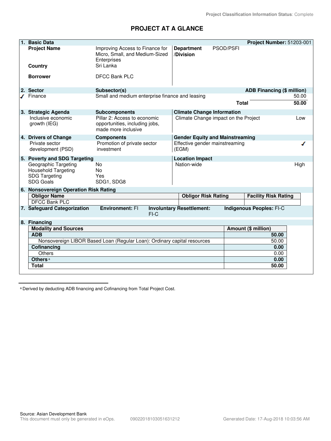## **PROJECT AT A GLANCE**

|             | 1. Basic Data                                                                                  |                                                                                       |                                         |                                      | Project Number: 51203-001       |                |
|-------------|------------------------------------------------------------------------------------------------|---------------------------------------------------------------------------------------|-----------------------------------------|--------------------------------------|---------------------------------|----------------|
|             | <b>Project Name</b>                                                                            | Improving Access to Finance for<br>Micro, Small, and Medium-Sized<br>Enterprises      | <b>Department</b><br>/Division          | <b>PSOD/PSFI</b>                     |                                 |                |
|             | Country                                                                                        | Sri Lanka                                                                             |                                         |                                      |                                 |                |
|             | <b>Borrower</b>                                                                                | <b>DFCC Bank PLC</b>                                                                  |                                         |                                      |                                 |                |
|             | 2. Sector                                                                                      | Subsector(s)                                                                          |                                         |                                      | ADB Financing (\$ million)      |                |
|             | Finance                                                                                        | Small and medium enterprise finance and leasing                                       |                                         | <b>Total</b>                         |                                 | 50.00<br>50.00 |
|             | 3. Strategic Agenda                                                                            | <b>Subcomponents</b>                                                                  | <b>Climate Change Information</b>       |                                      |                                 |                |
|             | Inclusive economic<br>growth (IEG)                                                             | Pillar 2: Access to economic<br>opportunities, including jobs,<br>made more inclusive |                                         | Climate Change impact on the Project |                                 | Low            |
|             | 4. Drivers of Change                                                                           | <b>Components</b>                                                                     | <b>Gender Equity and Mainstreaming</b>  |                                      |                                 |                |
|             | Private sector<br>development (PSD)                                                            | Promotion of private sector<br>investment                                             | Effective gender mainstreaming<br>(EGM) |                                      |                                 |                |
|             | 5. Poverty and SDG Targeting                                                                   |                                                                                       | <b>Location Impact</b>                  |                                      |                                 |                |
|             | Geographic Targeting<br><b>Household Targeting</b><br><b>SDG Targeting</b><br><b>SDG Goals</b> | No<br><b>No</b><br>Yes<br>SDG1, SDG8                                                  | Nation-wide                             |                                      |                                 | High           |
|             | 6. Nonsovereign Operation Risk Rating                                                          |                                                                                       |                                         |                                      |                                 |                |
|             | <b>Obligor Name</b>                                                                            |                                                                                       | <b>Obligor Risk Rating</b>              |                                      | <b>Facility Risk Rating</b>     |                |
|             | <b>DFCC Bank PLC</b>                                                                           |                                                                                       |                                         |                                      |                                 |                |
|             | 7. Safeguard Categorization                                                                    | <b>Environment: FI</b><br>$FI-C$                                                      | <b>Involuntary Resettlement:</b>        |                                      | <b>Indigenous Peoples: FI-C</b> |                |
|             | 8. Financing                                                                                   |                                                                                       |                                         |                                      |                                 |                |
|             | <b>Modality and Sources</b>                                                                    |                                                                                       |                                         |                                      | Amount (\$ million)             |                |
|             | <b>ADB</b>                                                                                     |                                                                                       |                                         |                                      | 50.00                           |                |
|             | Nonsovereign LIBOR Based Loan (Regular Loan): Ordinary capital resources                       |                                                                                       |                                         |                                      | 50.00                           |                |
| Cofinancing |                                                                                                |                                                                                       |                                         |                                      | 0.00                            |                |
|             | <b>Others</b>                                                                                  |                                                                                       |                                         |                                      | 0.00                            |                |
|             | Others <sup>a</sup>                                                                            |                                                                                       |                                         |                                      | 0.00                            |                |
|             | <b>Total</b>                                                                                   |                                                                                       |                                         |                                      | 50.00                           |                |

<sup>a</sup> Derived by deducting ADB financing and Cofinancing from Total Project Cost.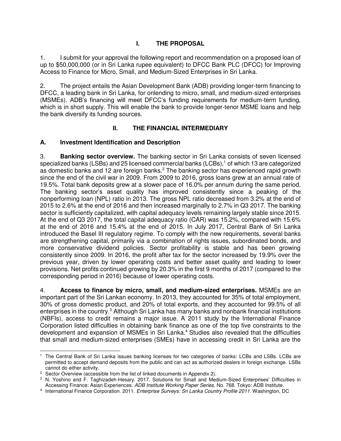## **I. THE PROPOSAL**

1. I submit for your approval the following report and recommendation on a proposed loan of up to \$50,000,000 (or in Sri Lanka rupee equivalent) to DFCC Bank PLC (DFCC) for Improving Access to Finance for Micro, Small, and Medium-Sized Enterprises in Sri Lanka.

2. The project entails the Asian Development Bank (ADB) providing longer-term financing to DFCC, a leading bank in Sri Lanka, for onlending to micro, small, and medium-sized enterprises (MSMEs). ADB's financing will meet DFCC's funding requirements for medium-term funding, which is in short supply. This will enable the bank to provide longer-tenor MSME loans and help the bank diversify its funding sources.

#### **II. THE FINANCIAL INTERMEDIARY**

#### **A. Investment Identification and Description**

3. **Banking sector overview.** The banking sector in Sri Lanka consists of seven licensed specialized banks (LSBs) and 25 licensed commercial banks (LCBs),<sup>1</sup> of which 13 are categorized as domestic banks and 12 are foreign banks.<sup>2</sup> The banking sector has experienced rapid growth since the end of the civil war in 2009. From 2009 to 2016, gross loans grew at an annual rate of 19.5%. Total bank deposits grew at a slower pace of 16.0% per annum during the same period. The banking sector's asset quality has improved consistently since a peaking of the nonperforming loan (NPL) ratio in 2013. The gross NPL ratio decreased from 3.2% at the end of 2015 to 2.6% at the end of 2016 and then increased marginally to 2.7% in Q3 2017. The banking sector is sufficiently capitalized, with capital adequacy levels remaining largely stable since 2015. At the end of Q3 2017, the total capital adequacy ratio (CAR) was 15.2%, compared with 15.6% at the end of 2016 and 15.4% at the end of 2015. In July 2017, Central Bank of Sri Lanka introduced the Basel III regulatory regime. To comply with the new requirements, several banks are strengthening capital, primarily via a combination of rights issues, subordinated bonds, and more conservative dividend policies. Sector profitability is stable and has been growing consistently since 2009. In 2016, the profit after tax for the sector increased by 19.9% over the previous year, driven by lower operating costs and better asset quality and leading to lower provisions. Net profits continued growing by 20.3% in the first 9 months of 2017 (compared to the corresponding period in 2016) because of lower operating costs.

4. **Access to finance by micro, small, and medium-sized enterprises.** MSMEs are an important part of the Sri Lankan economy. In 2013, they accounted for 35% of total employment, 30% of gross domestic product, and 20% of total exports, and they accounted for 99.5% of all enterprises in the country.<sup>3</sup> Although Sri Lanka has many banks and nonbank financial institutions (NBFIs), access to credit remains a major issue. A 2011 study by the International Finance Corporation listed difficulties in obtaining bank finance as one of the top five constraints to the development and expansion of MSMEs in Sri Lanka.<sup>4</sup> Studies also revealed that the difficulties that small and medium-sized enterprises (SMEs) have in accessing credit in Sri Lanka are the

 $\overline{a}$ 1 The Central Bank of Sri Lanka issues banking licenses for two categories of banks: LCBs and LSBs. LCBs are permitted to accept demand deposits from the public and can act as authorized dealers in foreign exchange. LSBs cannot do either activity.

<sup>&</sup>lt;sup>2</sup> Sector Overview (accessible from the list of linked documents in Appendix 2).

<sup>3</sup> N. Yoshino and F. Taghizadeh-Hesary. 2017. Solutions for Small and Medium-Sized Enterprises' Difficulties in Accessing Finance: Asian Experiences. *ADB Institute Working Paper Series*. No. 768. Tokyo: ADB Institute.

<sup>4</sup> International Finance Corporation. 2011. *Enterprise Surveys: Sri Lanka Country Profile 2011*. Washington, DC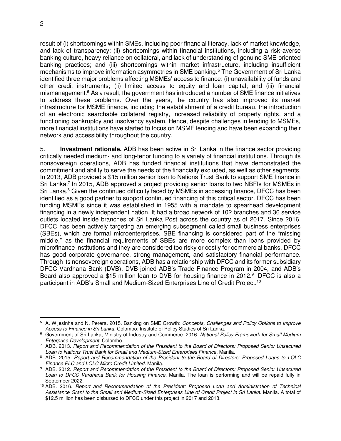$\overline{a}$ 

result of (i) shortcomings within SMEs, including poor financial literacy, lack of market knowledge, and lack of transparency; (ii) shortcomings within financial institutions, including a risk-averse banking culture, heavy reliance on collateral, and lack of understanding of genuine SME-oriented banking practices; and (iii) shortcomings within market infrastructure, including insufficient mechanisms to improve information asymmetries in SME banking.<sup>5</sup> The Government of Sri Lanka identified three major problems affecting MSMEs' access to finance: (i) unavailability of funds and other credit instruments; (ii) limited access to equity and loan capital; and (iii) financial mismanagement.<sup>6</sup> As a result, the government has introduced a number of SME finance initiatives to address these problems. Over the years, the country has also improved its market infrastructure for MSME finance, including the establishment of a credit bureau, the introduction of an electronic searchable collateral registry, increased reliability of property rights, and a functioning bankruptcy and insolvency system. Hence, despite challenges in lending to MSMEs, more financial institutions have started to focus on MSME lending and have been expanding their network and accessibility throughout the country.

5. **Investment rationale.** ADB has been active in Sri Lanka in the finance sector providing critically needed medium- and long-tenor funding to a variety of financial institutions. Through its nonsovereign operations, ADB has funded financial institutions that have demonstrated the commitment and ability to serve the needs of the financially excluded, as well as other segments. In 2013, ADB provided a \$15 million senior loan to Nations Trust Bank to support SME finance in Sri Lanka.<sup>7</sup> In 2015, ADB approved a project providing senior loans to two NBFIs for MSMEs in Sri Lanka.<sup>8</sup> Given the continued difficulty faced by MSMEs in accessing finance, DFCC has been identified as a good partner to support continued financing of this critical sector. DFCC has been funding MSMEs since it was established in 1955 with a mandate to spearhead development financing in a newly independent nation. It had a broad network of 102 branches and 36 service outlets located inside branches of Sri Lanka Post across the country as of 2017. Since 2016, DFCC has been actively targeting an emerging subsegment called small business enterprises (SBEs), which are formal microenterprises. SBE financing is considered part of the "missing middle," as the financial requirements of SBEs are more complex than loans provided by microfinance institutions and they are considered too risky or costly for commercial banks. DFCC has good corporate governance, strong management, and satisfactory financial performance. Through its nonsovereign operations, ADB has a relationship with DFCC and its former subsidiary DFCC Vardhana Bank (DVB). DVB joined ADB's Trade Finance Program in 2004, and ADB's Board also approved a \$15 million loan to DVB for housing finance in 2012.<sup>9</sup> DFCC is also a participant in ADB's Small and Medium-Sized Enterprises Line of Credit Project.<sup>10</sup>

<sup>5</sup> A. Wijesinha and N. Perera. 2015. Banking on SME Growth: *Concepts, Challenges and Policy Options to Improve Access to Finance in Sri Lanka*. Colombo: Institute of Policy Studies of Sri Lanka.

<sup>6</sup> Government of Sri Lanka, Ministry of Industry and Commerce. 2016. *National Policy Framework for Small Medium Enterprise Development*. Colombo.

<sup>7</sup> ADB. 2013. *Report and Recommendation of the President to the Board of Directors: Proposed Senior Unsecured Loan to Nations Trust Bank for Small and Medium-Sized Enterprises Finance.* Manila.

<sup>8</sup> ADB. 2015. *Report and Recommendation of the President to the Board of Directors: Proposed Loans to LOLC Finance PLC and LOLC Micro Credit Limited.* Manila.

<sup>9</sup> ADB. 2012. *Report and Recommendation of the President to the Board of Directors: Proposed Senior Unsecured Loan to DFCC Vardhana Bank for Housing Finance.* Manila. The loan is performing and will be repaid fully in September 2022.

<sup>10</sup> ADB. 2016. *Report and Recommendation of the President: Proposed Loan and Administration of Technical Assistance Grant to the Small and Medium-Sized Enterprises Line of Credit Project in Sri Lanka.* Manila. A total of \$12.5 million has been disbursed to DFCC under this project in 2017 and 2018.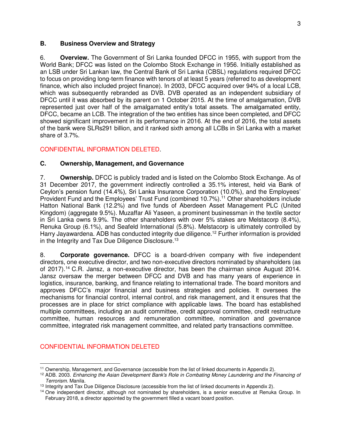#### **B. Business Overview and Strategy**

6. **Overview.** The Government of Sri Lanka founded DFCC in 1955, with support from the World Bank; DFCC was listed on the Colombo Stock Exchange in 1956. Initially established as an LSB under Sri Lankan law, the Central Bank of Sri Lanka (CBSL) regulations required DFCC to focus on providing long-term finance with tenors of at least 5 years (referred to as development finance, which also included project finance). In 2003, DFCC acquired over 94% of a local LCB, which was subsequently rebranded as DVB. DVB operated as an independent subsidiary of DFCC until it was absorbed by its parent on 1 October 2015. At the time of amalgamation, DVB represented just over half of the amalgamated entity's total assets. The amalgamated entity, DFCC, became an LCB. The integration of the two entities has since been completed, and DFCC showed significant improvement in its performance in 2016. At the end of 2016, the total assets of the bank were SLRs291 billion, and it ranked sixth among all LCBs in Sri Lanka with a market share of 3.7%.

#### CONFIDENTIAL INFORMATION DELETED.

#### **C. Ownership, Management, and Governance**

7. **Ownership.** DFCC is publicly traded and is listed on the Colombo Stock Exchange. As of 31 December 2017, the government indirectly controlled a 35.1% interest, held via Bank of Ceylon's pension fund (14.4%), Sri Lanka Insurance Corporation (10.0%), and the Employees' Provident Fund and the Employees' Trust Fund (combined 10.7%).<sup>11</sup> Other shareholders include Hatton National Bank (12.2%) and five funds of Aberdeen Asset Management PLC (United Kingdom) (aggregate 9.5%). Muzaffar Ali Yaseen, a prominent businessman in the textile sector in Sri Lanka owns 9.9%. The other shareholders with over 5% stakes are Melstacorp (8.4%), Renuka Group (6.1%), and Seafeld International (5.8%). Melstacorp is ultimately controlled by Harry Jayawardena. ADB has conducted integrity due diligence.<sup>12</sup> Further information is provided in the Integrity and Tax Due Diligence Disclosure.<sup>13</sup>

8. **Corporate governance.** DFCC is a board-driven company with five independent directors, one executive director, and two non-executive directors nominated by shareholders (as of 2017).<sup>14</sup> C.R. Jansz, a non-executive director, has been the chairman since August 2014. Jansz oversaw the merger between DFCC and DVB and has many years of experience in logistics, insurance, banking, and finance relating to international trade. The board monitors and approves DFCC's major financial and business strategies and policies. It oversees the mechanisms for financial control, internal control, and risk management, and it ensures that the processes are in place for strict compliance with applicable laws. The board has established multiple committees, including an audit committee, credit approval committee, credit restructure committee, human resources and remuneration committee, nomination and governance committee, integrated risk management committee, and related party transactions committee.

#### CONFIDENTIAL INFORMATION DELETED

 <sup>11</sup> Ownership, Management, and Governance (accessible from the list of linked documents in Appendix 2).

<sup>12</sup> ADB. 2003. *Enhancing the Asian Development Bank's Role in Combating Money Laundering and the Financing of Terrorism*. Manila.

<sup>&</sup>lt;sup>13</sup> Integrity and Tax Due Diligence Disclosure (accessible from the list of linked documents in Appendix 2).

<sup>&</sup>lt;sup>14</sup> One independent director, although not nominated by shareholders, is a senior executive at Renuka Group. In February 2018, a director appointed by the government filled a vacant board position.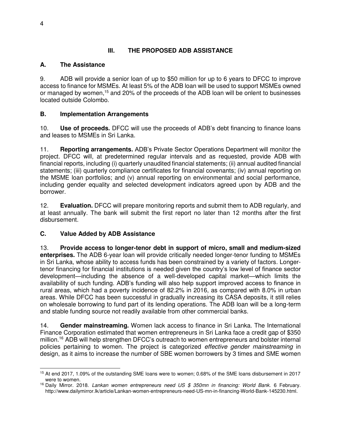## **III. THE PROPOSED ADB ASSISTANCE**

#### **A. The Assistance**

9. ADB will provide a senior loan of up to \$50 million for up to 6 years to DFCC to improve access to finance for MSMEs. At least 5% of the ADB loan will be used to support MSMEs owned or managed by women,<sup>15</sup> and 20% of the proceeds of the ADB loan will be onlent to businesses located outside Colombo.

## **B. Implementation Arrangements**

10. **Use of proceeds.** DFCC will use the proceeds of ADB's debt financing to finance loans and leases to MSMEs in Sri Lanka.

11. **Reporting arrangements.** ADB's Private Sector Operations Department will monitor the project. DFCC will, at predetermined regular intervals and as requested, provide ADB with financial reports, including (i) quarterly unaudited financial statements; (ii) annual audited financial statements; (iii) quarterly compliance certificates for financial covenants; (iv) annual reporting on the MSME loan portfolios; and (v) annual reporting on environmental and social performance, including gender equality and selected development indicators agreed upon by ADB and the borrower.

12. **Evaluation.** DFCC will prepare monitoring reports and submit them to ADB regularly, and at least annually. The bank will submit the first report no later than 12 months after the first disbursement.

## **C. Value Added by ADB Assistance**

13. **Provide access to longer-tenor debt in support of micro, small and medium-sized enterprises.** The ADB 6-year loan will provide critically needed longer-tenor funding to MSMEs in Sri Lanka, whose ability to access funds has been constrained by a variety of factors. Longertenor financing for financial institutions is needed given the country's low level of finance sector development—including the absence of a well-developed capital market—which limits the availability of such funding. ADB's funding will also help support improved access to finance in rural areas, which had a poverty incidence of 82.2% in 2016, as compared with 8.0% in urban areas. While DFCC has been successful in gradually increasing its CASA deposits, it still relies on wholesale borrowing to fund part of its lending operations. The ADB loan will be a long-term and stable funding source not readily available from other commercial banks.

14. **Gender mainstreaming.** Women lack access to finance in Sri Lanka. The International Finance Corporation estimated that women entrepreneurs in Sri Lanka face a credit gap of \$350 million.<sup>16</sup> ADB will help strengthen DFCC's outreach to women entrepreneurs and bolster internal policies pertaining to women. The project is categorized *effective gender mainstreaming* in design, as it aims to increase the number of SBE women borrowers by 3 times and SME women

 $\overline{a}$ <sup>15</sup> At end 2017, 1.09% of the outstanding SME loans were to women; 0.68% of the SME loans disbursement in 2017 were to women.

<sup>&</sup>lt;sup>16</sup> Daily Mirror. 2018. *Lankan women entrepreneurs need US \$ 350mn in financing: World Bank.* 6 February. http://www.dailymirror.lk/article/Lankan-women-entrepreneurs-need-US-mn-in-financing-World-Bank-145230.html.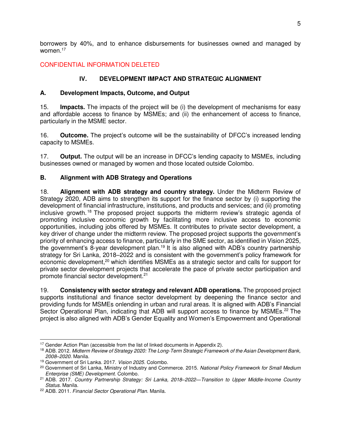borrowers by 40%, and to enhance disbursements for businesses owned and managed by women.<sup>17</sup>

## CONFIDENTIAL INFORMATION DELETED

## **IV. DEVELOPMENT IMPACT AND STRATEGIC ALIGNMENT**

#### **A. Development Impacts, Outcome, and Output**

15. **Impacts.** The impacts of the project will be (i) the development of mechanisms for easy and affordable access to finance by MSMEs; and (ii) the enhancement of access to finance, particularly in the MSME sector.

16. **Outcome.** The project's outcome will be the sustainability of DFCC's increased lending capacity to MSMEs.

17. **Output.** The output will be an increase in DFCC's lending capacity to MSMEs, including businesses owned or managed by women and those located outside Colombo.

#### **B. Alignment with ADB Strategy and Operations**

18. **Alignment with ADB strategy and country strategy.** Under the Midterm Review of Strategy 2020, ADB aims to strengthen its support for the finance sector by (i) supporting the development of financial infrastructure, institutions, and products and services; and (ii) promoting inclusive growth. <sup>18</sup> The proposed project supports the midterm review's strategic agenda of promoting inclusive economic growth by facilitating more inclusive access to economic opportunities, including jobs offered by MSMEs. It contributes to private sector development, a key driver of change under the midterm review. The proposed project supports the government's priority of enhancing access to finance, particularly in the SME sector, as identified in Vision 2025, the government's 8-year development plan.<sup>19</sup> It is also aligned with ADB's country partnership strategy for Sri Lanka, 2018–2022 and is consistent with the government's policy framework for economic development,<sup>20</sup> which identifies MSMEs as a strategic sector and calls for support for private sector development projects that accelerate the pace of private sector participation and promote financial sector development.<sup>21</sup>

19. **Consistency with sector strategy and relevant ADB operations.** The proposed project supports institutional and finance sector development by deepening the finance sector and providing funds for MSMEs onlending in urban and rural areas. It is aligned with ADB's Financial Sector Operational Plan, indicating that ADB will support access to finance by MSMEs.<sup>22</sup> The project is also aligned with ADB's Gender Equality and Women's Empowerment and Operational

 $\overline{a}$ <sup>17</sup> Gender Action Plan (accessible from the list of linked documents in Appendix 2).

<sup>18</sup> ADB. 2012. *Midterm Review of Strategy 2020: The Long-Term Strategic Framework of the Asian Development Bank, 2008–2020.* Manila.

<sup>19</sup> Government of Sri Lanka. 2017. *Vision 2025.* Colombo.

<sup>20</sup> Government of Sri Lanka, Ministry of Industry and Commerce. 2015. *National Policy Framework for Small Medium Enterprise (SME) Development*. Colombo.

<sup>21</sup> ADB. 2017. *Country Partnership Strategy: Sri Lanka, 2018–2022*—*Transition to Upper Middle-Income Country Status*. Manila.

<sup>22</sup> ADB. 2011. *Financial Sector Operational Plan.* Manila.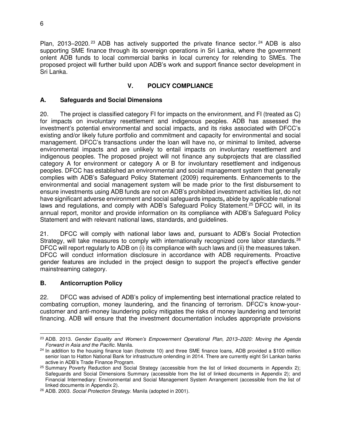Plan, 2013–2020.<sup>23</sup> ADB has actively supported the private finance sector.<sup>24</sup> ADB is also supporting SME finance through its sovereign operations in Sri Lanka, where the government onlent ADB funds to local commercial banks in local currency for relending to SMEs. The proposed project will further build upon ADB's work and support finance sector development in Sri Lanka.

## **V. POLICY COMPLIANCE**

#### **A. Safeguards and Social Dimensions**

20. The project is classified category FI for impacts on the environment, and FI (treated as C) for impacts on involuntary resettlement and indigenous peoples. ADB has assessed the investment's potential environmental and social impacts, and its risks associated with DFCC's existing and/or likely future portfolio and commitment and capacity for environmental and social management. DFCC's transactions under the loan will have no, or minimal to limited, adverse environmental impacts and are unlikely to entail impacts on involuntary resettlement and indigenous peoples. The proposed project will not finance any subprojects that are classified category A for environment or category A or B for involuntary resettlement and indigenous peoples. DFCC has established an environmental and social management system that generally complies with ADB's Safeguard Policy Statement (2009) requirements. Enhancements to the environmental and social management system will be made prior to the first disbursement to ensure investments using ADB funds are not on ADB's prohibited investment activities list, do not have significant adverse environment and social safeguards impacts**,** abide by applicable national laws and regulations, and comply with ADB's Safeguard Policy Statement.<sup>25</sup> DFCC will, in its annual report, monitor and provide information on its compliance with ADB's Safeguard Policy Statement and with relevant national laws, standards, and guidelines.

21. DFCC will comply with national labor laws and, pursuant to ADB's Social Protection Strategy, will take measures to comply with internationally recognized core labor standards.<sup>26</sup> DFCC will report regularly to ADB on (i) its compliance with such laws and (ii) the measures taken. DFCC will conduct information disclosure in accordance with ADB requirements. Proactive gender features are included in the project design to support the project's effective gender mainstreaming category.

#### **B. Anticorruption Policy**

22. DFCC was advised of ADB's policy of implementing best international practice related to combating corruption, money laundering, and the financing of terrorism. DFCC's know-yourcustomer and anti-money laundering policy mitigates the risks of money laundering and terrorist financing. ADB will ensure that the investment documentation includes appropriate provisions

 $\overline{a}$ <sup>23</sup> ADB. 2013. *Gender Equality and Women's Empowerment Operational Plan, 2013–2020: Moving the Agenda Forward in Asia and the Pacific.* Manila.

 $24$  In addition to the housing finance loan (footnote 10) and three SME finance loans, ADB provided a \$100 million senior loan to Hatton National Bank for infrastructure onlending in 2014. There are currently eight Sri Lankan banks active in ADB's Trade Finance Program.

<sup>&</sup>lt;sup>25</sup> Summary Poverty Reduction and Social Strategy (accessible from the list of linked documents in Appendix 2); Safeguards and Social Dimensions Summary (accessible from the list of linked documents in Appendix 2); and Financial Intermediary: Environmental and Social Management System Arrangement (accessible from the list of linked documents in Appendix 2).

<sup>26</sup> ADB. 2003. *Social Protection Strategy*. Manila (adopted in 2001).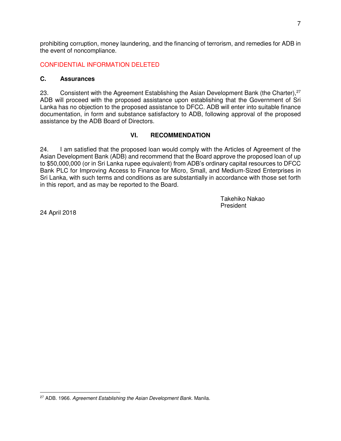prohibiting corruption, money laundering, and the financing of terrorism, and remedies for ADB in the event of noncompliance.

#### CONFIDENTIAL INFORMATION DELETED

#### **C. Assurances**

23. Consistent with the Agreement Establishing the Asian Development Bank (the Charter), <sup>27</sup> ADB will proceed with the proposed assistance upon establishing that the Government of Sri Lanka has no objection to the proposed assistance to DFCC. ADB will enter into suitable finance documentation, in form and substance satisfactory to ADB, following approval of the proposed assistance by the ADB Board of Directors.

#### **VI. RECOMMENDATION**

24. I am satisfied that the proposed loan would comply with the Articles of Agreement of the Asian Development Bank (ADB) and recommend that the Board approve the proposed loan of up to \$50,000,000 (or in Sri Lanka rupee equivalent) from ADB's ordinary capital resources to DFCC Bank PLC for Improving Access to Finance for Micro, Small, and Medium-Sized Enterprises in Sri Lanka, with such terms and conditions as are substantially in accordance with those set forth in this report, and as may be reported to the Board.

> Takehiko Nakao President

24 April 2018

 $\overline{a}$ 27 ADB. 1966. *Agreement Establishing the Asian Development Bank.* Manila.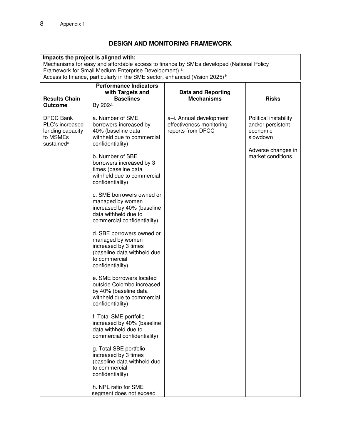## **DESIGN AND MONITORING FRAMEWORK**

| Impacts the project is aligned with:<br>Mechanisms for easy and affordable access to finance by SMEs developed (National Policy<br>Framework for Small Medium Enterprise Development) <sup>a</sup><br>Access to finance, particularly in the SME sector, enhanced (Vision 2025) <sup>b</sup> |                                                                                                                                                                                                                                                                                                                                                                                                                          |                                                                          |                                                                                                               |  |  |  |
|----------------------------------------------------------------------------------------------------------------------------------------------------------------------------------------------------------------------------------------------------------------------------------------------|--------------------------------------------------------------------------------------------------------------------------------------------------------------------------------------------------------------------------------------------------------------------------------------------------------------------------------------------------------------------------------------------------------------------------|--------------------------------------------------------------------------|---------------------------------------------------------------------------------------------------------------|--|--|--|
| <b>Performance Indicators</b><br>with Targets and                                                                                                                                                                                                                                            |                                                                                                                                                                                                                                                                                                                                                                                                                          | <b>Data and Reporting</b>                                                |                                                                                                               |  |  |  |
| <b>Results Chain</b>                                                                                                                                                                                                                                                                         | <b>Baselines</b>                                                                                                                                                                                                                                                                                                                                                                                                         | <b>Mechanisms</b>                                                        | <b>Risks</b>                                                                                                  |  |  |  |
| <b>Outcome</b><br><b>DFCC Bank</b><br>PLC's increased<br>lending capacity<br>to MSMEs<br>sustained <sup>c</sup>                                                                                                                                                                              | By 2024<br>a. Number of SME<br>borrowers increased by<br>40% (baseline data<br>withheld due to commercial<br>confidentiality)<br>b. Number of SBE<br>borrowers increased by 3<br>times (baseline data<br>withheld due to commercial<br>confidentiality)<br>c. SME borrowers owned or                                                                                                                                     | a-i. Annual development<br>effectiveness monitoring<br>reports from DFCC | Political instability<br>and/or persistent<br>economic<br>slowdown<br>Adverse changes in<br>market conditions |  |  |  |
|                                                                                                                                                                                                                                                                                              | managed by women<br>increased by 40% (baseline<br>data withheld due to<br>commercial confidentiality)<br>d. SBE borrowers owned or<br>managed by women<br>increased by 3 times<br>(baseline data withheld due<br>to commercial<br>confidentiality)                                                                                                                                                                       |                                                                          |                                                                                                               |  |  |  |
|                                                                                                                                                                                                                                                                                              | e. SME borrowers located<br>outside Colombo increased<br>by 40% (baseline data<br>withheld due to commercial<br>confidentiality)<br>f. Total SME portfolio<br>increased by 40% (baseline<br>data withheld due to<br>commercial confidentiality)<br>g. Total SBE portfolio<br>increased by 3 times<br>(baseline data withheld due<br>to commercial<br>confidentiality)<br>h. NPL ratio for SME<br>segment does not exceed |                                                                          |                                                                                                               |  |  |  |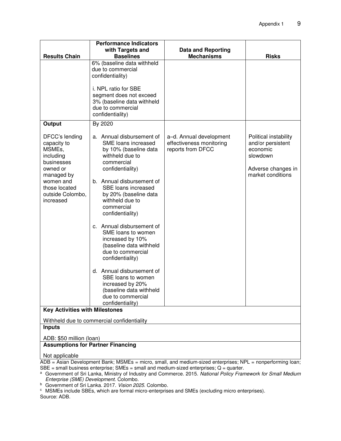|                                                                                                                                                             | <b>Performance Indicators</b>                                                                                                                                                                                                                                                                                                                                                                                                                                                                                                                          |                                                                          |                                                                                                               |  |  |  |
|-------------------------------------------------------------------------------------------------------------------------------------------------------------|--------------------------------------------------------------------------------------------------------------------------------------------------------------------------------------------------------------------------------------------------------------------------------------------------------------------------------------------------------------------------------------------------------------------------------------------------------------------------------------------------------------------------------------------------------|--------------------------------------------------------------------------|---------------------------------------------------------------------------------------------------------------|--|--|--|
| <b>Results Chain</b>                                                                                                                                        | with Targets and<br><b>Baselines</b>                                                                                                                                                                                                                                                                                                                                                                                                                                                                                                                   | <b>Data and Reporting</b><br><b>Mechanisms</b>                           | <b>Risks</b>                                                                                                  |  |  |  |
|                                                                                                                                                             | 6% (baseline data withheld<br>due to commercial<br>confidentiality)<br>i. NPL ratio for SBE<br>segment does not exceed<br>3% (baseline data withheld<br>due to commercial<br>confidentiality)                                                                                                                                                                                                                                                                                                                                                          |                                                                          |                                                                                                               |  |  |  |
| Output                                                                                                                                                      | By 2020                                                                                                                                                                                                                                                                                                                                                                                                                                                                                                                                                |                                                                          |                                                                                                               |  |  |  |
| DFCC's lending<br>capacity to<br>MSMEs,<br>including<br>businesses<br>owned or<br>managed by<br>women and<br>those located<br>outside Colombo,<br>increased | a. Annual disbursement of<br>SME loans increased<br>by 10% (baseline data<br>withheld due to<br>commercial<br>confidentiality)<br>b. Annual disbursement of<br>SBE loans increased<br>by 20% (baseline data<br>withheld due to<br>commercial<br>confidentiality)<br>c. Annual disbursement of<br>SME loans to women<br>increased by 10%<br>(baseline data withheld<br>due to commercial<br>confidentiality)<br>d. Annual disbursement of<br>SBE loans to women<br>increased by 20%<br>(baseline data withheld<br>due to commercial<br>confidentiality) | a-d. Annual development<br>effectiveness monitoring<br>reports from DFCC | Political instability<br>and/or persistent<br>economic<br>slowdown<br>Adverse changes in<br>market conditions |  |  |  |
| <b>Key Activities with Milestones</b>                                                                                                                       |                                                                                                                                                                                                                                                                                                                                                                                                                                                                                                                                                        |                                                                          |                                                                                                               |  |  |  |
| Withheld due to commercial confidentiality                                                                                                                  |                                                                                                                                                                                                                                                                                                                                                                                                                                                                                                                                                        |                                                                          |                                                                                                               |  |  |  |
| <b>Inputs</b>                                                                                                                                               |                                                                                                                                                                                                                                                                                                                                                                                                                                                                                                                                                        |                                                                          |                                                                                                               |  |  |  |
| ADB: \$50 million (loan)                                                                                                                                    |                                                                                                                                                                                                                                                                                                                                                                                                                                                                                                                                                        |                                                                          |                                                                                                               |  |  |  |
| <b>Assumptions for Partner Financing</b>                                                                                                                    |                                                                                                                                                                                                                                                                                                                                                                                                                                                                                                                                                        |                                                                          |                                                                                                               |  |  |  |

Not applicable

ADB = Asian Development Bank; MSMEs = micro, small, and medium-sized enterprises; NPL = nonperforming loan;  $SBE$  = small business enterprise;  $SMEs$  = small and medium-sized enterprises;  $Q$  = quarter.

<sup>a</sup>Government of Sri Lanka, Ministry of Industry and Commerce. 2015. *National Policy Framework for Small Medium Enterprise (SME) Development*. Colombo.

<sup>b</sup> Government of Sri Lanka. 2017. *Vision 2025*. Colombo.

 $\textdegree$  MSMEs include SBEs, which are formal micro-enterprises and SMEs (excluding micro enterprises). Source: ADB.